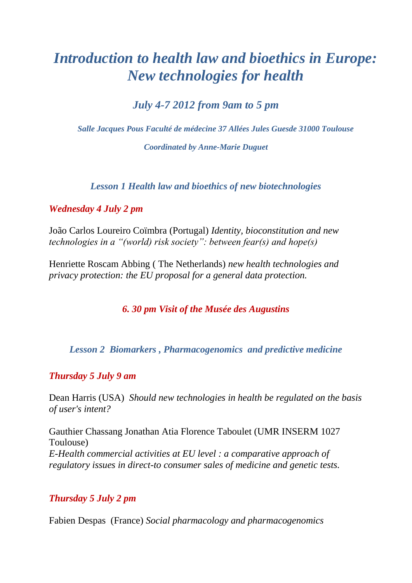# *Introduction to health law and bioethics in Europe: New technologies for health*

*July 4-7 2012 from 9am to 5 pm*

*Salle Jacques Pous Faculté de médecine 37 Allées Jules Guesde 31000 Toulouse*

*Coordinated by Anne-Marie Duguet*

*Lesson 1 Health law and bioethics of new biotechnologies*

## *Wednesday 4 July 2 pm*

João Carlos Loureiro Coïmbra (Portugal) *Identity, bioconstitution and new technologies in a "(world) risk society": between fear(s) and hope(s)*

Henriette Roscam Abbing ( The Netherlands) *new health technologies and privacy protection: the EU proposal for a general data protection.*

# *6. 30 pm Visit of the Musée des Augustins*

## *Lesson 2 Biomarkers , Pharmacogenomics and predictive medicine*

#### *Thursday 5 July 9 am*

Dean Harris (USA) *Should new technologies in health be regulated on the basis of user's intent?*

Gauthier Chassang Jonathan Atia Florence Taboulet (UMR INSERM 1027 Toulouse) *E-Health commercial activities at EU level : a comparative approach of regulatory issues in direct-to consumer sales of medicine and genetic tests.* 

## *Thursday 5 July 2 pm*

Fabien Despas (France) *Social pharmacology and pharmacogenomics*